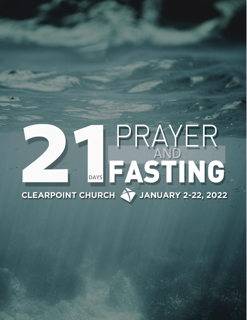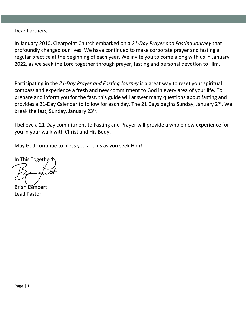Dear Partners,

In January 2010, Clearpoint Church embarked on a *21-Day Prayer and Fasting Journey* that profoundly changed our lives. We have continued to make corporate prayer and fasting a regular practice at the beginning of each year. We invite you to come along with us in January 2022, as we seek the Lord together through prayer, fasting and personal devotion to Him.

Participating in the *21-Day Prayer and Fasting Journey* is a great way to reset your spiritual compass and experience a fresh and new commitment to God in every area of your life. To prepare and inform you for the fast, this guide will answer many questions about fasting and provides a 21-Day Calendar to follow for each day. The 21 Days begins Sunday, January 2<sup>nd</sup>. We break the fast, Sunday, January 23rd.

I believe a 21-Day commitment to Fasting and Prayer will provide a whole new experience for you in your walk with Christ and His Body.

May God continue to bless you and us as you seek Him!

In This Togethe

Brian Lambert Lead Pastor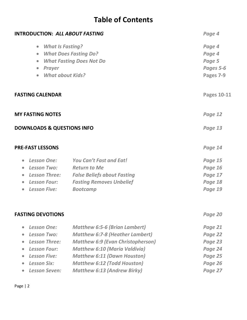## **Table of Contents**

| <b>INTRODUCTION: ALL ABOUT FASTING</b><br>Page 4                           |                                                                                                                                      |                                                                                                                                                                                                                                                |                                                                |
|----------------------------------------------------------------------------|--------------------------------------------------------------------------------------------------------------------------------------|------------------------------------------------------------------------------------------------------------------------------------------------------------------------------------------------------------------------------------------------|----------------------------------------------------------------|
|                                                                            | <b>What Is Fasting?</b><br>$\bullet$<br>$\bullet$<br>$\bullet$<br>Prayer<br>$\bullet$<br><b>What about Kids?</b><br>$\bullet$        | <b>What Does Fasting Do?</b><br><b>What Fasting Does Not Do</b>                                                                                                                                                                                | Page 4<br>Page 4<br>Page 5<br>Pages 5-6<br>Pages 7-9           |
|                                                                            | <b>FASTING CALENDAR</b>                                                                                                              |                                                                                                                                                                                                                                                | <b>Pages 10-11</b>                                             |
|                                                                            | <b>MY FASTING NOTES</b>                                                                                                              |                                                                                                                                                                                                                                                | Page 12                                                        |
|                                                                            | <b>DOWNLOADS &amp; QUESTIONS INFO</b>                                                                                                |                                                                                                                                                                                                                                                | Page 13                                                        |
|                                                                            | <b>PRE-FAST LESSONS</b>                                                                                                              |                                                                                                                                                                                                                                                | Page 14                                                        |
| $\bullet$<br>$\bullet$<br>$\bullet$<br>$\bullet$                           | <b>Lesson One:</b><br><b>Lesson Two:</b><br><b>Lesson Three:</b><br><b>Lesson Four:</b><br><b>Lesson Five:</b>                       | You Can't Fast and Eat!<br><b>Return to Me</b><br><b>False Beliefs about Fasting</b><br><b>Fasting Removes Unbelief</b><br><b>Bootcamp</b>                                                                                                     | Page 15<br>Page 16<br>Page 17<br>Page 18<br>Page 19            |
|                                                                            | <b>FASTING DEVOTIONS</b>                                                                                                             |                                                                                                                                                                                                                                                | Page 20                                                        |
| $\bullet$<br>$\bullet$<br>$\bullet$<br>$\bullet$<br>$\bullet$<br>$\bullet$ | <b>Lesson One:</b><br><b>Lesson Two:</b><br><b>Lesson Three:</b><br><b>Lesson Four:</b><br><b>Lesson Five:</b><br><b>Lesson Six:</b> | <b>Matthew 6:5-6 (Brian Lambert)</b><br><b>Matthew 6:7-8 (Heather Lambert)</b><br><b>Matthew 6:9 (Evan Christopherson)</b><br><b>Matthew 6:10 (Maria Valdivia)</b><br><b>Matthew 6:11 (Dawn Houston)</b><br><b>Matthew 6:12 (Todd Houston)</b> | Page 21<br>Page 22<br>Page 23<br>Page 24<br>Page 25<br>Page 26 |
| $\bullet$                                                                  | <b>Lesson Seven:</b>                                                                                                                 | <b>Matthew 6:13 (Andrew Birky)</b>                                                                                                                                                                                                             | Page 27                                                        |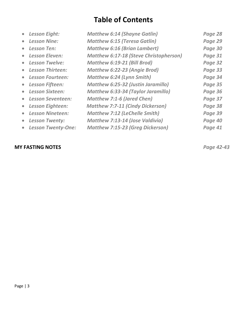## **Table of Contents**

| <b>Lesson Eight:</b>      | <b>Matthew 6:14 (Shayne Gatlin)</b>           | Page 28 |
|---------------------------|-----------------------------------------------|---------|
| <b>Lesson Nine:</b>       | <b>Matthew 6:15 (Teresa Gatlin)</b>           | Page 29 |
| <b>Lesson Ten:</b>        | <b>Matthew 6:16 (Brian Lambert)</b>           | Page 30 |
| <b>Lesson Eleven:</b>     | <b>Matthew 6:17-18 (Steve Christopherson)</b> | Page 31 |
| <b>Lesson Twelve:</b>     | <b>Matthew 6:19-21 (Bill Brod)</b>            | Page 32 |
| <b>Lesson Thirteen:</b>   | <b>Matthew 6:22-23 (Angie Brod)</b>           | Page 33 |
| <b>Lesson Fourteen:</b>   | <b>Matthew 6:24 (Lynn Smith)</b>              | Page 34 |
| <b>Lesson Fifteen:</b>    | <b>Matthew 6:25-32 (Justin Jaramillo)</b>     | Page 35 |
| <b>Lesson Sixteen:</b>    | <b>Matthew 6:33-34 (Taylor Jaramillo)</b>     | Page 36 |
| <b>Lesson Seventeen:</b>  | <b>Matthew 7:1-6 (Jared Chen)</b>             | Page 37 |
| <b>Lesson Eighteen:</b>   | <b>Matthew 7:7-11 (Cindy Dickerson)</b>       | Page 38 |
| <b>Lesson Nineteen:</b>   | <b>Matthew 7:12 (LeChelle Smith)</b>          | Page 39 |
| <b>Lesson Twenty:</b>     | <b>Matthew 7:13-14 (Jose Valdivia)</b>        | Page 40 |
| <b>Lesson Twenty-One:</b> | <b>Matthew 7:15-23 (Greg Dickerson)</b>       | Page 41 |

#### **MY FASTING NOTES** *Page 42-43*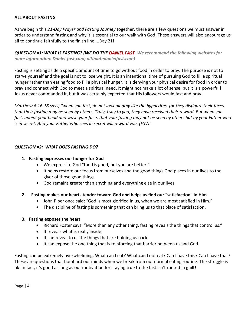#### **ALL ABOUT FASTING**

As we begin this *21-Day Prayer and Fasting Journey* together, there are a few questions we must answer in order to understand fasting and why it is essential to our walk with God. These answers will also encourage us all to continue faithfully to the finish line....Day 21!

*QUESTION #1: WHAT IS FASTING? (WE DO THE DANIEL FAST. We recommend the following websites for more information: Daniel-fast.com; ultimatedanielfast.com)*

Fasting is setting aside a specific amount of time to go without food in order to pray. The purpose is not to starve yourself and the goal is not to lose weight. It is an intentional time of pursuing God to fill a spiritual hunger rather than eating food to fill a physical hunger. It is denying your physical desire for food in order to pray and connect with God to meet a spiritual need. It might not make a lot of sense, but it is a powerful! Jesus never commanded it, but it was certainly expected that His followers would fast and pray.

*Matthew 6:16-18 says, "when you fast, do not look gloomy like the hypocrites, for they disfigure their faces that their fasting may be seen by others. Truly, I say to you, they have received their reward. But when you fast, anoint your head and wash your face, that your fasting may not be seen by others but by your Father who is in secret. And your Father who sees in secret will reward you. (ESV)"*

#### *QUESTION #2: WHAT DOES FASTING DO?*

#### **1. Fasting expresses our hunger for God**

- We express to God "food is good, but you are better."
- It helps restore our focus from ourselves and the good things God places in our lives to the giver of those good things.
- God remains greater than anything and everything else in our lives.

#### **2. Fasting makes our hearts tender toward God and helps us find our "satisfaction" in Him**

- John Piper once said: "God is most glorified in us, when we are most satisfied in Him."
- The discipline of fasting is something that can bring us to that place of satisfaction.

#### **3. Fasting exposes the heart**

- Richard Foster says: "More than any other thing, fasting reveals the things that control us."
- It reveals what is really inside.
- It can reveal to us the things that are holding us back.
- It can expose the one thing that is reinforcing that barrier between us and God.

Fasting can be extremely overwhelming. What can I eat? What can I not eat? Can I have this? Can I have that? These are questions that bombard our minds when we break from our normal eating routine. The struggle is ok. In fact, it's good as long as our motivation for staying true to the fast isn't rooted in guilt!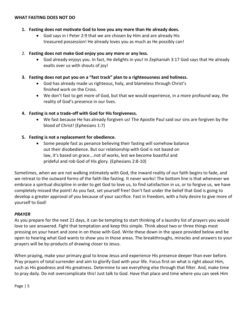#### **WHAT FASTING DOES NOT DO**

#### **1. Fasting does not motivate God to love you any more than He already does.**

• God says in I Peter 2:9 that we are chosen by Him and are already His treasured possession! He already loves you as much as He possibly can!

#### 2. **Fasting does not make God enjoy you any more or any less.**

• God already enjoys you. In fact, He delights in you! In Zephaniah 3:17 God says that He already exalts over us with shouts of joy!

#### **3. Fasting does not put you on a "fast track" plan to a righteousness and holiness.**

- God has already made us righteous, holy, and blameless through Christ's finished work on the Cross.
- We don't fast to get more of God, but that we would experience, in a more profound way, the reality of God's presence in our lives.

#### **4. Fasting is not a trade-off with God for His forgiveness.**

• We fast because He has already forgiven us! The Apostle Paul said our sins are forgiven by the blood of Christ! (Ephesians 1:7)

#### **5. Fasting is not a replacement for obedience.**

• Some people fast as penance believing their fasting will somehow balance out their disobedience. But our relationship with God is not based on law, it's based on grace….not of works, lest we become boastful and prideful and rob God of His glory. (Ephesians 2:8-10)

Sometimes, when we are not walking intimately with God, the inward reality of our faith begins to fade, and we retreat to the outward forms of the faith like fasting. It never works! The bottom line is that whenever we embrace a spiritual discipline in order to get God to love us, to find satisfaction in us, or to forgive us, we have completely missed the point! As you fast, set yourself free! Don't fast under the belief that God is going to develop a greater approval of you because of your sacrifice. Fast in freedom, with a holy desire to give more of yourself to God!

#### *PRAYER*

As you prepare for the next 21 days, it can be tempting to start thinking of a laundry list of prayers you would love to see answered. Fight that temptation and keep this simple. Think about two or three things most pressing on your heart and zone in on those with God. Write these down in the space provided below and be open to hearing what God wants to show you in those areas. The breakthroughs, miracles and answers to your prayers will be by-products of drawing closer to Jesus.

When praying, make your primary goal to know Jesus and experience His presence deeper than ever before. Pray prayers of total surrender and aim to glorify God with your life. Focus first on what is right about Him, such as His goodness and His greatness. Determine to see everything else through that filter. And, make time to pray daily. Do not overcomplicate this! Just talk to God. Have that place and time where you can seek Him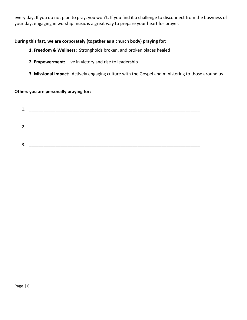every day. If you do not plan to pray, you won't. If you find it a challenge to disconnect from the busyness of your day, engaging in worship music is a great way to prepare your heart for prayer.

#### **During this fast, we are corporately (together as a church body) praying for:**

- **1. Freedom & Wellness:** Strongholds broken, and broken places healed
- **2. Empowerment:** Live in victory and rise to leadership
- **3. Missional Impact:** Actively engaging culture with the Gospel and ministering to those around us

#### **Others you are personally praying for:**

| 1. |  |
|----|--|
|    |  |
|    |  |
| 2. |  |
|    |  |
| 3. |  |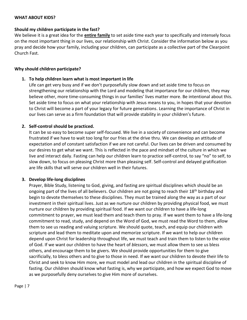#### **WHAT ABOUT KIDS?**

#### **Should my children participate in the fast?**

We believe it is a great idea for the **entire family** to set aside time each year to specifically and intensely focus on the most important thing in our lives, our relationship with Christ. Consider the information below as you pray and decide how your family, including your children, can participate as a collective part of the Clearpoint Church Fast.

#### **Why should children participate?**

#### **1. To help children learn what is most important in life**

Life can get very busy and if we don't purposefully slow down and set aside time to focus on strengthening our relationship with the Lord and modeling that importance for our children, they may believe other, more time-consuming things in our families' lives matter more. Be intentional about this. Set aside time to focus on what your relationship with Jesus means to you, in hopes that your devotion to Christ will become a part of your legacy for future generations. Learning the importance of Christ in our lives can serve as a firm foundation that will provide stability in your children's future.

#### **2. Self-control should be practiced.**

It can be so easy to become super self-focused. We live in a society of convenience and can become frustrated if we have to wait too long for our fries at the drive thru. We can develop an attitude of expectation and of constant satisfaction if we are not careful. Our lives can be driven and consumed by our desires to get what we want. This is reflected in the pace and mindset of the culture in which we live and interact daily. Fasting can help our children learn to practice self-control, to say "no" to self, to slow down, to focus on pleasing Christ more than pleasing self. Self-control and delayed gratification are life skills that will serve our children well in their futures.

#### **3. Develop life-long disciplines**

Prayer, Bible Study, listening to God, giving, and fasting are spiritual disciplines which should be an ongoing part of the lives of all believers. Our children are not going to reach their 18<sup>th</sup> birthday and begin to devote themselves to these disciplines. They must be trained along the way as a part of our investment in their spiritual lives. Just as we nurture our children by providing physical food, we must nurture our children by providing spiritual food. If we want our children to have a life-long commitment to prayer, we must lead them and teach them to pray. If we want them to have a life-long commitment to read, study, and depend on the Word of God, we must read the Word to them, allow them to see us reading and valuing scripture. We should quote, teach, and equip our children with scripture and lead them to meditate upon and memorize scripture. If we want to help our children depend upon Christ for leadership throughout life, we must teach and train them to listen to the voice of God. If we want our children to have the heart of *blessors*, we must allow them to see us bless others, and encourage them to be givers. We should provide opportunities for them to give sacrificially, to bless others and to give to those in need. If we want our children to devote their life to Christ and seek to know Him more, we must model and lead our children in the spiritual discipline of fasting. Our children should know what fasting is, why we participate, and how we expect God to move as we purposefully deny ourselves to give Him more of ourselves.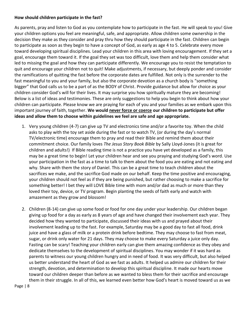#### **How should children participate in the fast?**

As parents, pray and listen to God as you contemplate how to participate in the fast. He will speak to you! Give your children options you feel are meaningful, safe, and appropriate. Allow children some ownership in the decision they make as they consider and pray thru how they should participate in the fast. Children can begin to participate as soon as they begin to have a concept of God, as early as age 4 to 5. Celebrate every move toward developing spiritual disciplines. Lead your children in this area with loving encouragement. If they set a goal, encourage them toward it. If the goal they set was too difficult, love them and help them consider what led to missing the goal and how they can participate differently. We encourage you to resist the temptation to quit and encourage your children not to quit! Make adjustments, if necessary, but deeply ponder and consider the ramifications of quitting the fast before the corporate dates are fulfilled. Not only is the surrender to the fast meaningful to you and your family, but also the corporate devotion as a church body is "something bigger" that God calls us to be a part of as the BODY of Christ. Provide guidance but allow for choice as your children consider God's will for their lives. It may surprise you how spiritually mature they are becoming! Below is a list of ideas and testimonies. These are only suggestions to help you begin to think about how your children can participate. Please know we are praying for each of you and your families as we embark upon this important journey of faith, together. **We would never force or coerce our children to participate but offer ideas and allow them to choose within guidelines we feel are safe and age appropriate.**

- 1. Very young children (4-7) can give up TV and electronics time and/or a favorite toy. When the child asks to play with the toy set aside during the fast or to watch TV, (or during the day's normal TV/electronic time) encourage them to pray and read their Bible and remind them about their commitment choice. Our family loves *The Jesus Story Book Bible* by Sally Lloyd-Jones (it is great for children and adults!) If Bible reading time is not a practice you have yet developed as a family, this may be a great time to begin! Let your children hear and see you praying and studying God's word. Use your participation in the fast as a time to talk to them about the food you are eating and not eating and why. Share with them the story of Daniel. This can be a great time to teach children about the sacrifices we make, and the sacrifice God made on our behalf. Keep the time positive and encouraging, your children should not feel as if they are being punished, but rather choosing to make a sacrifice for something better! I bet they will LOVE Bible time with mom and/or dad as much or more than they loved their toy, device, or TV program. Begin planting the seeds of faith early and watch with amazement as they grow and blossom!
- 2. Children (8-14) can give up some food or food for one day under your leadership. Our children began giving up food for a day as early as 8 years of age and have changed their involvement each year. They decided how they wanted to participate, discussed their ideas with us and prayed about their involvement leading up to the fast. For example, Saturday may be a good day to fast all food, drink juice and have a glass of milk or a protein drink before bedtime. They may choose to fast from meat, sugar, or drink only water for 21 days. They may choose to make every Saturday a juice only day. Fasting can be scary! Teaching your children early can give them amazing confidence as they obey and dedicate themselves to the development of spiritual disciplines. You may wonder if it was hard as parents to witness our young children hungry and in need of food. It was very difficult, but also helped us better understand the heart of God as we fast as adults. It helped us admire our children for their strength, devotion, and determination to develop this spiritual discipline. It made our hearts move toward our children deeper than before as we wanted to bless them for their sacrifice and encourage them in their struggle. In all of this, we learned even better how God's heart is moved toward us as we

Page | 8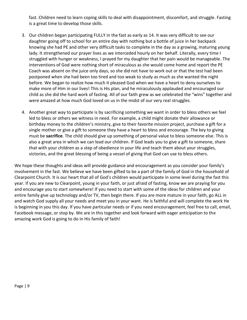fast. Children need to learn coping skills to deal with disappointment, discomfort, and struggle. Fasting is a great time to develop those skills.

- 3. Our children began participating FULLY in the fast as early as 14. It was very difficult to see our daughter going off to school for an entire day with nothing but a bottle of juice in her backpack knowing she had PE and other very difficult tasks to complete in the day as a growing, maturing young lady. It strengthened our prayer lives as we interceded hourly on her behalf. Literally, every time I struggled with hunger or weakness, I prayed for my daughter that her pain would be manageable. The interventions of God were nothing short of miraculous as she would come home and report the PE Coach was absent on the juice only days, so she did not have to work out or that the test had been postponed when she had been too tired and too weak to study as much as she wanted the night before. We began to realize how much it pleased God when we have a heart to deny ourselves to make more of Him in our lives! This is His plan, and he miraculously applauded and encouraged our child as she did the hard work of fasting. All of our faith grew as we celebrated the "wins" together and were amazed at how much God loved on us in the midst of our very real struggles.
- 4. Another great way to participate is by sacrificing something we want in order to bless others we feel led to bless or others we witness in need. For example, a child might donate their allowance or birthday money to the children's ministry, give to their favorite mission project, purchase a gift for a single mother or give a gift to someone they have a heart to bless and encourage. The key to giving must be **sacrifice**. The child should give up something of personal value to bless someone else. This is also a great area in which we can lead our children. If God leads you to give a gift to someone, share that with your children as a step of obedience in your life and teach them about your struggles, victories, and the great blessing of being a vessel of giving that God can use to bless others.

We hope these thoughts and ideas will provide guidance and encouragement as you consider your family's involvement in the fast. We believe we have been gifted to be a part of the family of God in the household of Clearpoint Church. It is our heart that all of God's children would participate in some level during the fast this year. If you are new to Clearpoint, young in your faith, or just afraid of fasting, know we are praying for you and encourage you to start somewhere! If you need to start with some of the ideas for children and your entire family give up technology and/or TV, then begin there. If you are more mature in your faith, go ALL in and watch God supply all your needs and meet you in your want. He is faithful and will complete the work He is beginning in you this day. If you have particular needs or if you need encouragement, feel free to call, email, Facebook message, or stop by. We are in this together and look forward with eager anticipation to the amazing work God is going to do in His family of faith!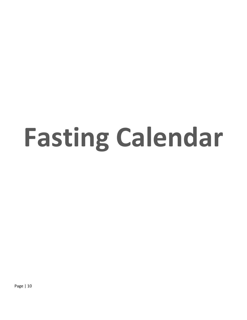## **Fasting Calendar**

Page | 10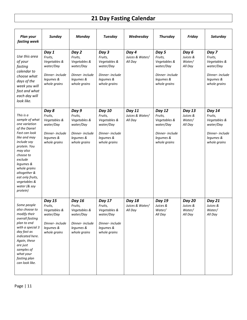### **21 Day Fasting Calendar**

| Plan your<br>fasting week                                                                                                                                                                                                                                                      | Sunday                                                                                                | <b>Monday</b>                                                                                        | <b>Tuesday</b>                                                                                       | Wednesday                                   | <b>Thursday</b>                                                                                | <b>Friday</b>                           | Saturday                                                                                       |
|--------------------------------------------------------------------------------------------------------------------------------------------------------------------------------------------------------------------------------------------------------------------------------|-------------------------------------------------------------------------------------------------------|------------------------------------------------------------------------------------------------------|------------------------------------------------------------------------------------------------------|---------------------------------------------|------------------------------------------------------------------------------------------------|-----------------------------------------|------------------------------------------------------------------------------------------------|
| Use this area<br>of your<br>fasting<br>calendar to<br>choose what<br>days of the<br>week you will<br>fast and what<br>each day will<br>look like.                                                                                                                              | Day 1<br>Fruits,<br>Vegetables &<br>water/Day<br>Dinner-include<br>legumes &<br>whole grains          | Day 2<br>Fruits,<br>Vegetables &<br>water/Day<br>Dinner-include<br>legumes &<br>whole grains         | Day 3<br>Fruits,<br>Vegetables &<br>water/Day<br>Dinner-include<br>legumes &<br>whole grains         | Day 4<br>Juices & Water/<br>All Day         | Day 5<br>Fruits,<br>Vegetables &<br>water/Day<br>Dinner- include<br>legumes &<br>whole grains  | Day 6<br>Juices &<br>Water/<br>All Day  | Day 7<br>Fruits,<br>Vegetables &<br>water/Day<br>Dinner-include<br>legumes &<br>whole grains   |
| This is a<br>sample of what<br>one variation<br>of the Daniel<br>Fast can look<br>like and may<br>include soy<br>protein. You<br>may also<br>choose to<br>exclude<br>legumes &<br>whole grains<br>altogether &<br>eat only fruits,<br>vegetables &<br>water (& soy<br>protein) | Day 8<br>Fruits,<br>Vegetables &<br>water/Day<br>Dinner- include<br>legumes &<br>whole grains         | Day 9<br>Fruits,<br>Vegetables &<br>water/Day<br>Dinner-include<br>legumes &<br>whole grains         | <b>Day 10</b><br>Fruits,<br>Vegetables &<br>water/Day<br>Dinner-include<br>legumes &<br>whole grains | Day 11<br>Juices & Water/<br>All Day        | Day 12<br>Fruits,<br>Vegetables &<br>water/Day<br>Dinner- include<br>legumes &<br>whole grains | Day 13<br>Juices &<br>Water/<br>All Day | Day 14<br>Fruits,<br>Vegetables &<br>water/Day<br>Dinner- include<br>legumes &<br>whole grains |
| Some people<br>also choose to<br>modify their<br>overall fasting<br>plan to end<br>with a special 3<br>day fast as<br>indicated here.<br>Again, these<br>are just<br>samples of<br>what your<br>fasting plan<br>can look like.                                                 | <b>Day 15</b><br>Fruits,<br>Vegetables &<br>water/Day<br>Dinner- include<br>legumes &<br>whole grains | <b>Day 16</b><br>Fruits,<br>Vegetables &<br>water/Day<br>Dinner-include<br>legumes &<br>whole grains | Day 17<br>Fruits,<br>Vegetables &<br>water/Day<br>Dinner- include<br>legumes &<br>whole grains       | <b>Day 18</b><br>Juices & Water/<br>All Day | <b>Day 19</b><br>Juices &<br>Water/<br>All Day                                                 | Day 20<br>Juices &<br>Water/<br>All Day | Day 21<br>Juices &<br>Water/<br>All Day                                                        |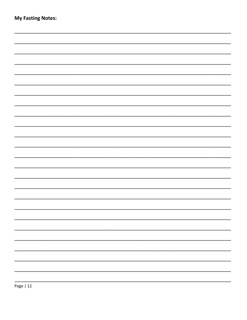| <b>My Fasting Notes:</b> |  |  |
|--------------------------|--|--|
|                          |  |  |
|                          |  |  |
|                          |  |  |
|                          |  |  |
|                          |  |  |
|                          |  |  |
|                          |  |  |
|                          |  |  |
|                          |  |  |
|                          |  |  |
|                          |  |  |
|                          |  |  |
|                          |  |  |
|                          |  |  |
|                          |  |  |
|                          |  |  |
|                          |  |  |
|                          |  |  |
|                          |  |  |
|                          |  |  |
|                          |  |  |
|                          |  |  |
|                          |  |  |
|                          |  |  |
|                          |  |  |
|                          |  |  |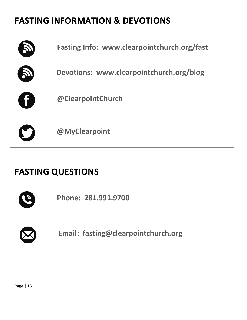## **FASTING INFORMATION & DEVOTIONS**



## **FASTING QUESTIONS**



**Phone: 281.991.9700**



**Email: fasting@clearpointchurch.org**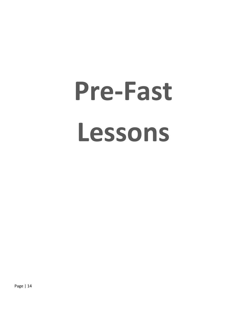## **Pre-Fast Lessons**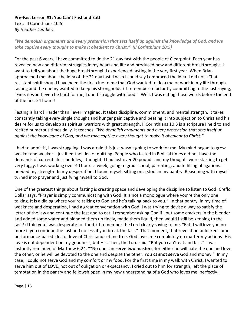#### **Pre-Fast Lesson #1: You Can't Fast and Eat!** Text: II Corinthians 10:5

*By Heather Lambert*

*"We demolish arguments and every pretension that sets itself up against the knowledge of God, and we take captive every thought to make it obedient to Christ." (II Corinthians 10:5)*

For the past 6 years, I have committed to do the 21 day fast with the people of Clearpoint. Each year has revealed new and different struggles in my heart and life and produced new and different breakthroughs. I want to tell you about the huge breakthrough I experienced fasting in the very first year. When Brian approached me about the idea of the 21 day fast, I wish I could say I embraced the idea. I did not. (That resistant spirit should have been the first clue to me that God wanted to do a major work in my life through fasting and the enemy wanted to keep his strongholds.) I remember reluctantly committing to the fast saying, "Fine, it won't even be hard for me, I don't struggle with food." Well, I was eating those words before the end of the first 24 hours!

Fasting is hard! Harder than I ever imagined. It takes discipline, commitment, and mental strength. It takes constantly taking every single thought and hunger pain captive and beating it into subjection to Christ and his desire for us to develop as spiritual warriors with great strength. II Corinthians 10:5 is a scripture I held to and recited numerous times daily. It teaches, *"We demolish arguments and every pretension that sets itself up against the knowledge of God, and we take captive every thought to make it obedient to Christ."* 

I had to admit it, I was struggling. I was afraid this just wasn't going to work for me. My mind began to grow weaker and weaker. I justified the idea of quitting. People who fasted in Biblical times did not have the demands of current life schedules, I thought. I had lost over 20 pounds and my thoughts were starting to get very foggy. I was working over 40 hours a week, going to grad school, parenting, and fulfilling obligations. I needed my strength! In my desperation, I found myself sitting on a stool in my pantry. Reasoning with myself turned into prayer and justifying myself to God.

One of the greatest things about fasting is creating space and developing the discipline to listen to God. Creflo Dollar says, "Prayer is simply communicating with God. It is not a monologue where you're the only one talking. It is a dialog where you're talking to God and he's talking back to you." In that pantry, in my time of weakness and desperation, I had a great conversation with God. I was trying to devise a way to satisfy the letter of the law and continue the fast and to eat. I remember asking God if I put some crackers in the blender and added some water and blended them up finely, made them liquid, then would I still be keeping to the fast? (I told you I was desperate for food.) I remember the Lord clearly saying to me, "Eat. I will love you no more if you continue the fast and no less if you break the fast." That moment, that revelation unlocked some performance-based idea of love of Christ and set me free. God loves me completely no matter my actions! His love is not dependent on my goodness, but His. Then, the Lord said, "But you can't eat and fast." I was instantly reminded of Matthew 6:24, ""No one can **serve two masters**, for either he will hate the one and love the other, or he will be devoted to the one and despise the other. You **cannot serve** God and money." In my case, I could not serve God and my comfort or my food. For the first time in my walk with Christ, I wanted to serve him out of LOVE, not out of obligation or expectancy. I cried out to him for strength, left the place of temptation in the pantry and fellowshipped in my new understanding of a God who loves me, perfectly!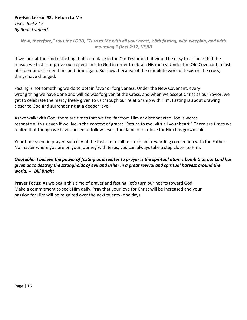#### **Pre-Fast Lesson #2: Return to Me**

*Text: Joel 2:12 By Brian Lambert*

> *Now, therefore," says the LORD, "Turn to Me with all your heart, With fasting, with weeping, and with mourning." (Joel 2:12, NKJV)*

If we look at the kind of fasting that took place in the Old Testament, it would be easy to assume that the reason we fast is to prove our repentance to God in order to obtain His mercy. Under the Old Covenant, a fast of repentance is seen time and time again. But now, because of the complete work of Jesus on the cross, things have changed.

Fasting is not something we do to obtain favor or forgiveness. Under the New Covenant, every wrong thing we have done and will do was forgiven at the Cross, and when we accept Christ as our Savior, we get to celebrate the mercy freely given to us through our relationship with Him. Fasting is about drawing closer to God and surrendering at a deeper level.

As we walk with God, there are times that we feel far from Him or disconnected. Joel's words resonate with us even if we live in the context of grace: "Return to me with all your heart." There are times we realize that though we have chosen to follow Jesus, the flame of our love for Him has grown cold.

Your time spent in prayer each day of the fast can result in a rich and rewarding connection with the Father. No matter where you are on your journey with Jesus, you can always take a step closer to Him.

#### *Quotable: I believe the power of fasting as it relates to prayer is the spiritual atomic bomb that our Lord has given us to destroy the strongholds of evil and usher in a great revival and spiritual harvest around the world. – Bill Bright*

**Prayer Focus:** As we begin this time of prayer and fasting, let's turn our hearts toward God. Make a commitment to seek Him daily. Pray that your love for Christ will be increased and your passion for Him will be reignited over the next twenty- one days.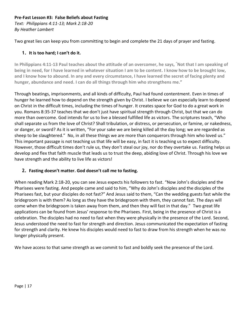#### **Pre-Fast Lesson #3: False Beliefs about Fasting**

*Text: Philippians 4:11-13; Mark 2:18-20 By Heather Lambert*

Two great lies can keep you from committing to begin and complete the 21 days of prayer and fasting.

#### **1. It is too hard; I can't do it.**

**In Philippians 4:11-13 Paul teaches about the attitude of an overcomer, he says, "Not that I am speaking of being in need, for I have learned in whatever situation I am to be content. I know how to be brought low, and I know how to abound. In any and every circumstance, I have learned the secret of facing plenty and hunger, abundance and need. I can do all things through him who strengthens me."**

Through beatings, imprisonments, and all kinds of difficulty, Paul had found contentment. Even in times of hunger he learned how to depend on the strength given by Christ. I believe we can especially learn to depend on Christ in the difficult times, including the times of hunger. It creates space for God to do a great work in you. Romans 8:35-37 teaches that we don't just have spiritual strength through Christ, but that we can do more than overcome. God intends for us to live a blessed fulfilled life as victors. The scriptures teach, "Who shall separate us from the love of Christ? Shall tribulation, or distress, or persecution, or famine, or nakedness, or danger, or sword? As it is written, "For your sake we are being killed all the day long; we are regarded as sheep to be slaughtered." No, in all these things we are more than conquerors through him who loved us." This important passage is not teaching us that life will be easy, in fact it is teaching us to expect difficulty. However, those difficult times don't rule us, they don't steal our joy, nor do they overtake us. Fasting helps us develop and flex that faith muscle that leads us to trust the deep, abiding love of Christ. Through his love we have strength and the ability to live life as victors!

#### **2. Fasting doesn't matter. God doesn't call me to fasting.**

When reading Mark 2:18-20, you can see Jesus expects his followers to fast. "Now John's disciples and the Pharisees were fasting. And people came and said to him, "Why do John's disciples and the disciples of the Pharisees fast, but your disciples do not fast?" And Jesus said to them, "Can the wedding guests fast while the bridegroom is with them? As long as they have the bridegroom with them, they cannot fast. The days will come when the bridegroom is taken away from them, and then they will fast in that day." Two great life applications can be found from Jesus' response to the Pharisees. First, being in the presence of Christ is a celebration. The disciples had no need to fast when they were physically in the presence of the Lord. Second, Jesus understood the need to fast for strength and direction. Jesus communicated the expectation of fasting for strength and clarity. He knew his disciples would need to fast to draw from his strength when he was no longer physically present.

We have access to that same strength as we commit to fast and boldly seek the presence of the Lord.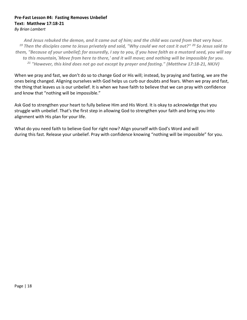#### **Pre-Fast Lesson #4: Fasting Removes Unbelief Text: Matthew 17:18-21**  *By Brian Lambert*

*And Jesus rebuked the demon, and it came out of him; and the child was cured from that very hour. <sup>19</sup> Then the disciples came to Jesus privately and said, "Why could we not cast it out?" <sup>20</sup> So Jesus said to them, "Because of your unbelief; for assuredly, I say to you, if you have faith as a mustard seed, you will say to this mountain,`Move from here to there,' and it will move; and nothing will be impossible for you. <sup>21</sup> "However, this kind does not go out except by prayer and fasting." (Matthew 17:18-21, NKJV)*

When we pray and fast, we don't do so to change God or His will; instead, by praying and fasting, we are the ones being changed. Aligning ourselves with God helps us curb our doubts and fears. When we pray and fast, the thing that leaves us is our unbelief. It is when we have faith to believe that we can pray with confidence and know that "nothing will be impossible."

Ask God to strengthen your heart to fully believe Him and His Word. It is okay to acknowledge that you struggle with unbelief. That's the first step in allowing God to strengthen your faith and bring you into alignment with His plan for your life.

What do you need faith to believe God for right now? Align yourself with God's Word and will during this fast. Release your unbelief. Pray with confidence knowing "nothing will be impossible" for you.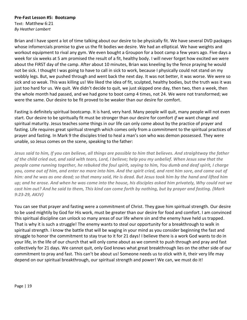#### **Pre-Fast Lesson #5: Bootcamp**

Text: Matthew 6:21 *By Heather Lambert*

Brian and I have spent a lot of time talking about our desire to be physically fit. We have several DVD packages whose infomercials promise to give us the fit bodies we desire. We had an elliptical. We have weights and workout equipment to rival any gym. We even bought a Groupon for a boot camp a few years ago. Five days a week for six weeks at 5 am promised the result of a fit, healthy body. I will never forget how excited we were about the FIRST day of the camp. After about 10 minutes, Brian was kneeling by the fence praying he would not be sick. I thought I was going to have to call in sick to work, because I physically could not stand on my wobbly legs. But, we pushed through and went back the next day. It was not better, it was worse. We were so sick and so weak. This was killing us! We liked the idea of fit, sculpted, healthy bodies, but the truth was it was just too hard for us. We quit. We didn't decide to quit, we just skipped one day, then two, then a week, then the whole month had passed, and we had gone to boot camp 4 times, not 24. We were not transformed; we were the same. Our desire to be fit proved to be weaker than our desire for comfort.

Fasting is definitely spiritual bootcamp. It is hard, very hard. Many people will quit, many people will not even start. Our desire to be spiritually fit must be stronger than our desire for comfort *if* we want change and spiritual maturity. Jesus teaches some things in our life can only come about by the practice of prayer and fasting. Life requires great spiritual strength which comes only from a commitment to the spiritual practices of prayer and fasting. In Mark 9 the disciples tried to heal a man's son who was demon possessed. They were unable, so Jesus comes on the scene, speaking to the father:

*Jesus said to him, If you can believe, all things are possible to him that believes. And straightway the father of the child cried out, and said with tears, Lord, I believe; help you my unbelief. When Jesus saw that the people came running together, he rebuked the foul spirit, saying to him, You dumb and deaf spirit, I charge you, come out of him, and enter no more into him. And the spirit cried, and rent him sore, and came out of him: and he was as one dead; so that many said, He is dead. But Jesus took him by the hand and lifted him up; and he arose. And when he was come into the house, his disciples asked him privately, Why could not we cast him out? And he said to them, This kind can come forth by nothing, but by prayer and fasting. (Mark 9:23-29, AKJV)*

You can see that prayer and fasting were a commitment of Christ. They gave him spiritual strength. Our desire to be used mightily by God for His work, must be greater than our desire for food and comfort. I am convinced this spiritual discipline can unlock so many areas of our life where sin and the enemy have held us trapped. That is why it is such a struggle! The enemy wants to steal our opportunity for a breakthrough to walk in spiritual strength. I know the battle that will be waging in your mind as you consider beginning the fast and struggle to honor the commitment to stay true to it for 21 days! I believe there is a work God wants to do in your life, in the life of our church that will only come about as we commit to push through and pray and fast collectively for 21 days. We cannot quit, only God knows what great breakthrough lies on the other side of our commitment to pray and fast. This can't be about us! Someone needs us to stick with it, their very life may depend on our spiritual breakthrough, our spiritual strength and power! We can, we must do it!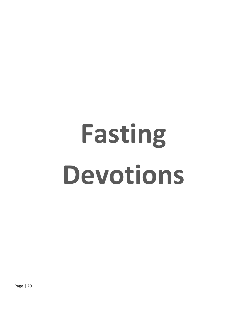# **Fasting Devotions**

Page | 20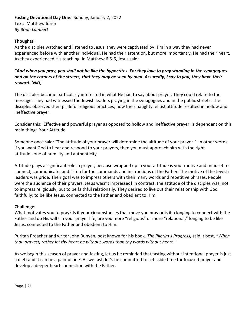#### **Fasting Devotional Day One:** Sunday, January 2, 2022

Text: Matthew 6:5-6 *By Brian Lambert*

#### **Thoughts:**

As the disciples watched and listened to Jesus, they were captivated by Him in a way they had never experienced before with another individual. He had their attention, but more importantly, He had their heart. As they experienced His teaching, In Matthew 6:5-6, Jesus said:

*"And when you pray, you shall not be like the hypocrites. For they love to pray standing in the synagogues and on the corners of the streets, that they may be seen by men. Assuredly, I say to you, they have their reward. (NKJ)*

The disciples became particularly interested in what He had to say about prayer. They could relate to the message. They had witnessed the Jewish leaders praying in the synagogues and in the public streets. The disciples observed their prideful religious practices; how their haughty, elitist attitude resulted in hollow and ineffective prayer.

Consider this: Effective and powerful prayer as opposed to hollow and ineffective prayer, is dependent on this main thing: Your Attitude.

Someone once said: "The attitude of your prayer will determine the altitude of your prayer." In other words, if you want God to hear and respond to your prayers, then you must approach him with the right attitude…one of humility and authenticity.

Attitude plays a significant role in prayer, because wrapped up in your attitude is your motive and mindset to connect, communicate, and listen for the commands and instructions of the Father. The motive of the Jewish leaders was pride. Their goal was to impress others with their many words and repetitive phrases. People were the audience of their prayers. Jesus wasn't impressed! In contrast, the attitude of the disciples was, not to impress religiously, but to be faithful relationally. They desired to live out their relationship with God faithfully; to be like Jesus, connected to the Father and obedient to Him.

#### **Challenge:**

What motivates you to pray? Is it your circumstances that move you pray or is it a longing to connect with the Father and do His will? In your prayer life, are you more "religious" or more "relational," longing to be like Jesus, connected to the Father and obedient to Him.

Puritan Preacher and writer John Bunyan, best known for his book, *The Pilgrim's Progress,* said it best, *"When thou prayest, rather let thy heart be without words than thy words without heart."*

As we begin this season of prayer and fasting, let us be reminded that fasting without intentional prayer is just a diet; and it can be a painful one! As we fast, let's be committed to set aside time for focused prayer and develop a deeper heart connection with the Father.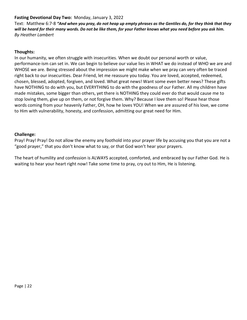#### **Fasting Devotional Day Two:** Monday, January 3, 2022

Text: Matthew 6:7-8 *"And when you pray, do not heap up empty phrases as the Gentiles do, for they think that they will be heard for their many words. Do not be like them, for your Father knows what you need before you ask him. By Heather Lambert*

#### **Thoughts:**

In our humanity, we often struggle with insecurities. When we doubt our personal worth or value, performance-ism can set in. We can begin to believe our value lies in WHAT we do instead of WHO we are and WHOSE we are. Being stressed about the impression we might make when we pray can very often be traced right back to our insecurities. Dear Friend, let me reassure you today. You are loved, accepted, redeemed, chosen, blessed, adopted, forgiven, and loved. What great news! Want some even better news? These gifts have NOTHING to do with you, but EVERYTHING to do with the goodness of our Father. All my children have made mistakes, some bigger than others, yet there is NOTHING they could ever do that would cause me to stop loving them, give up on them, or not forgive them. Why? Because I love them so! Please hear those words coming from your heavenly Father, OH, how he loves YOU! When we are assured of his love, we come to Him with vulnerability, honesty, and confession, admitting our great need for Him.

#### **Challenge:**

Pray! Pray! Pray! Do not allow the enemy any foothold into your prayer life by accusing you that you are not a "good prayer," that you don't know what to say, or that God won't hear your prayers.

The heart of humility and confession is ALWAYS accepted, comforted, and embraced by our Father God. He is waiting to hear your heart right now! Take some time to pray, cry out to Him, He is listening.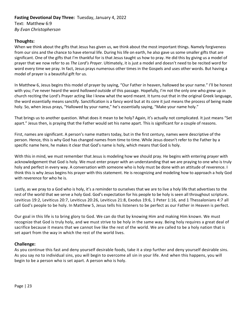#### **Fasting Devotional Day Three:** Tuesday, January 4, 2022

Text: Matthew 6:9 *By Evan Christopherson*

#### **Thoughts:**

When we think about the gifts that Jesus has given us, we think about the most important things. Namely forgiveness from our sins and the chance to have eternal life. During his life on earth, he also gave us some smaller gifts that are significant. One of the gifts that I'm thankful for is that Jesus taught us how to pray. He did this by giving us a model of prayer that we now refer to as *The Lord's Prayer*. Ultimately, it is just a model and doesn't need to be recited word for word every time we pray. In fact, Jesus prays numerous other times in the Gospels and uses other words. But having a model of prayer is a beautiful gift for us.

In Matthew 6, Jesus begins this model of prayer by saying, "Our Father in heaven, hallowed be your name." I'll be honest with you; I've never heard the word *hallowed* outside of this passage. Hopefully, I'm not the only one who grew up in church reciting the Lord's Prayer acting like I knew what the word meant. It turns out that in the original Greek language, the word essentially means sanctify. Sanctification is a fancy word but at its core it just means the process of being made holy. So, when Jesus prays, "Hallowed by your name," he's essentially saying, "Make your name holy."

That brings us to another question. What does it mean to be holy? Again, it's actually not complicated. It just means "Set apart." Jesus then, is praying that the Father would set his name apart. This is significant for a couple of reasons.

First, names are significant. A person's name matters today, but in the first century, names were descriptive of the person. Hence, this is why God has changed names from time to time. While Jesus doesn't refer to the Father by a specific name here, he makes it clear that God's name is holy, which means that God is holy.

With this in mind, we must remember that Jesus is modeling how we should pray. He begins with entering prayer with acknowledgement that God is holy. We must enter prayer with an understanding that we are praying to one who is truly holy and perfect in every way. A conversation with someone who is holy must be done with an attitude of reverence. I think this is why Jesus begins his prayer with this statement. He is recognizing and modeling how to approach a holy God with reverence for who he is.

Lastly, as we pray to a God who is holy, it's a reminder to ourselves that we are to live a holy life that advertises to the rest of the world that we serve a holy God. God's expectation for his people to be holy is seen all throughout scripture**.**  Leviticus 19:2, Leviticus 20:7, Leviticus 20:26, Leviticus 21:8, Exodus 19:6, 1 Peter 1:16, and 1 Thessalonians 4:7 all call God's people to be holy. In Matthew 5, Jesus tells his listeners to be perfect as our Father in Heaven is perfect.

Our goal in this life is to bring glory to God. We can do that by knowing Him and making Him known. We must recognize that God is truly holy, and we must strive to be holy in the same way. Being holy requires a great deal of sacrifice because it means that we cannot live like the rest of the world. We are called to be a holy nation that is set apart from the way in which the rest of the world lives.

#### **Challenge:**

As you continue this fast and deny yourself desirable foods, take it a step further and deny yourself desirable sins. As you say no to individual sins, you will begin to overcome all sin in your life. And when this happens, you will begin to be a person who is set apart. A person who is holy.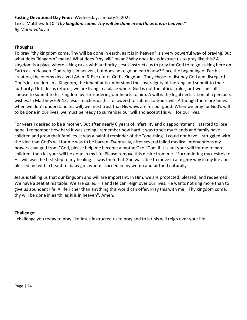**Fasting Devotional Day Four:** Wednesday, January 5, 2022 Text: Matthew 6:10 *"Thy kingdom come. Thy will be done in earth, as it is in heaven." By Maria Valdivia*

#### **Thoughts:**

To pray "thy kingdom come. Thy will be done in earth, as it is in heaven" is a very powerful way of praying. But what does "kingdom" mean? What does "thy will" mean? Why does Jesus instruct us to pray like this? A kingdom is a place where a king rules with authority. Jesus instructs us to pray for God to reign as king here on Earth as in Heaven. God reigns in heaven, but does he reign on earth now? Since the beginning of Earth's creation, the enemy deceived Adam & Eve out of God's Kingdom. They chose to disobey God and disregard God's instruction. In a Kingdom, the inhabitants understand the sovereignty of the king and submit to their authority. Until Jesus returns, we are living in a place where God is not the official ruler, but we can still choose to submit to his kingdom by surrendering our hearts to him. A will is the legal declaration of a person's wishes. In Matthew 6:9-13, Jesus teaches us (his followers) to submit to God's will. Although there are times when we don't understand his will, we must trust that His ways are for our good. When we pray for God's will to be done in our lives, we must be ready to surrender our will and accept His will for our lives.

For years I desired to be a mother. But after nearly 6 years of infertility and disappointment, I started to lose hope. I remember how hard it was seeing I remember how hard it was to see my friends and family have children and grow their families. It was a painful reminder of the "one thing" I could not have. I struggled with the idea that God's will for me was to be barren. Eventually, after several failed medical interventions my prayers changed from "God, please help me become a mother" to "God, if it is not your will for me to bare children, then let your will be done in my life. Please remove this desire from me. "Surrendering my desires to His will was the first step to my healing. It was then that God was able to move in a mighty way in my life and blessed me with a beautiful baby girl, whom I carried in my womb and birthed naturally.

Jesus is telling us that our kingdom and will are important. In Him, we are protected, blessed, and redeemed. We have a seat at his table. We are called His and He can reign over our lives. He wants nothing more than to give us abundant life. A life richer than anything this world can offer. Pray this with me, "Thy kingdom come, thy will be done in earth, as it is in heaven". Amen.

#### **Challenge:**

I challenge you today to pray like Jesus instructed us to pray and to let his will reign over your life.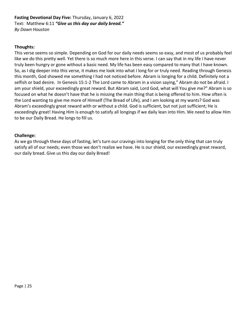#### **Fasting Devotional Day Five:** Thursday, January 6, 2022

Text: Matthew 6:11 *"Give us this day our daily bread." By Dawn Houston*

#### **Thoughts:**

This verse seems so simple. Depending on God for our daily needs seems so easy, and most of us probably feel like we do this pretty well. Yet there is so much more here in this verse. I can say that in my life I have never truly been hungry or gone without a basic need. My life has been easy compared to many that I have known. So, as I dig deeper into this verse, it makes me look into what I long for or truly need. Reading through Genesis this month, God showed me something I had not noticed before. Abram is longing for a child. Definitely not a selfish or bad desire. In Genesis 15:1-2 The Lord came to Abram in a vision saying," Abram do not be afraid. I am your shield, your exceedingly great reward. But Abram said, Lord God, what will You give me?" Abram is so focused on what he doesn't have that he is missing the main thing that is being offered to him. How often is the Lord wanting to give me more of Himself (The Bread of Life), and I am looking at my wants? God was Abram's exceedingly great reward with or without a child. God is sufficient, but not just sufficient; He is exceedingly great! Having Him is enough to satisfy all longings if we daily lean into Him. We need to allow Him to be our Daily Bread. He longs to fill us.

#### **Challenge:**

As we go through these days of fasting, let's turn our cravings into longing for the only thing that can truly satisfy all of our needs; even those we don't realize we have. He is our shield, our exceedingly great reward, our daily bread. Give us this day our daily Bread!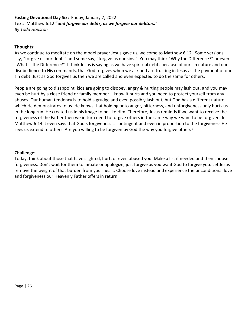**Fasting Devotional Day Six:** Friday, January 7, 2022 Text: Matthew 6:12 **"***and forgive our debts, as we forgive our debtors.***"**  *By Todd Houston*

#### **Thoughts:**

As we continue to meditate on the model prayer Jesus gave us, we come to Matthew 6:12. Some versions say, "forgive us our debts" and some say, "forgive us our sins." You may think "Why the Difference?" or even "What is the Difference?" I think Jesus is saying as we have spiritual debts because of our sin nature and our disobedience to His commands, that God forgives when we ask and are trusting in Jesus as the payment of our sin debt. Just as God forgives us then we are called and even expected to do the same for others.

People are going to disappoint, kids are going to disobey, angry & hurting people may lash out, and you may even be hurt by a close friend or family member. I know it hurts and you need to protect yourself from any abuses. Our human tendency is to hold a grudge and even possibly lash out, but God has a different nature which He demonstrates to us. He knows that holding onto anger, bitterness, and unforgiveness only hurts us in the long run. He created us in his image to be like Him. Therefore, Jesus reminds if we want to receive the forgiveness of the Father then we in turn need to forgive others in the same way we want to be forgiven. In Matthew 6:14 it even says that God's forgiveness is contingent and even in proportion to the forgiveness He sees us extend to others. Are you willing to be forgiven by God the way you forgive others?

#### **Challenge:**

Today, think about those that have slighted, hurt, or even abused you. Make a list if needed and then choose forgiveness. Don't wait for them to initiate or apologize, just forgive as you want God to forgive you. Let Jesus remove the weight of that burden from your heart. Choose love instead and experience the unconditional love and forgiveness our Heavenly Father offers in return.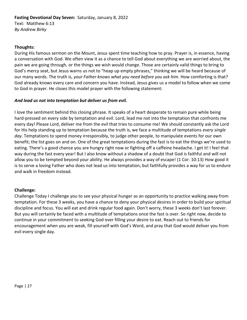#### **Thoughts:**

During His famous sermon on the Mount, Jesus spent time teaching how to pray. Prayer is, in essence, having a conversation with God. We often view it as a chance to tell God about everything we are worried about, the pain we are going through, or the things we wish would change. Those are certainly valid things to bring to God's mercy seat, but Jesus warns us not to "heap up empty phrases," thinking we will be heard because of our many words. The truth is, *your Father knows what you need before you ask him*. How comforting is that? God already knows every care and concern you have. Instead, Jesus gives us a model to follow when we come to God in prayer. He closes this model prayer with the following statement:

#### *And lead us not into temptation but deliver us from evil.*

I love the sentiment behind this closing phrase. It speaks of a heart desperate to remain pure while being hard-pressed on every side by temptation and evil. Lord, lead me not into the temptation that confronts me every day! Please Lord, deliver me from the evil that tries to consume me! We should constantly ask the Lord for His help standing up to temptation because the truth is, we face a multitude of temptations *every single day*. Temptations to spend money irresponsibly, to judge other people, to manipulate events for our own benefit; the list goes on and on. One of the great temptations during the fast is to eat the things we're used to eating. There's a good chance you are hungry right now or fighting off a caffeine headache. I get it! I feel that way during the fast every year! But I also know without a shadow of a doubt that God is faithful and will not allow you to be tempted beyond your ability. He always provides a way of escape! (1 Cor. 10:13) How good it is to serve a loving Father who does not lead us into temptation, but faithfully provides a way for us to endure and walk in freedom instead.

#### **Challenge:**

Challenge Today I challenge you to see your physical hunger as an opportunity to practice walking away from temptation. For these 3 weeks, you have a chance to deny your physical desires in order to build your spiritual discipline and focus. You will eat and drink regular food again. Don't worry, these 3 weeks don't last forever. But you will certainly be faced with a multitude of temptations once the fast is over. So right now, decide to continue in your commitment to seeking God over filling your desire to eat. Reach out to friends for encouragement when you are weak, fill yourself with God's Word, and pray that God would deliver you from evil every single day.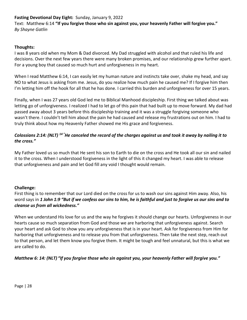#### **Fasting Devotional Day Eight:** Sunday, January 9, 2022

Text: Matthew 6:14 **"If you forgive those who sin against you, your heavenly Father will forgive you."** *By Shayne Gatlin*

#### **Thoughts:**

I was 8 years old when my Mom & Dad divorced. My Dad struggled with alcohol and that ruled his life and decisions. Over the next few years there were many broken promises, and our relationship grew further apart. For a young boy that caused so much hurt and unforgiveness in my heart.

When I read Matthew 6:14, I can easily let my human nature and instincts take over, shake my head, and say NO to what Jesus is asking from me. Jesus, do you realize how much pain he caused me? If I forgive him then I'm letting him off the hook for all that he has done. I carried this burden and unforgiveness for over 15 years.

Finally, when I was 27 years old God led me to Biblical Manhood discipleship. First thing we talked about was letting go of unforgiveness. I realized I had to let go of this pain that had built up to move forward. My dad had passed away about 3 years before this discipleship training and it was a struggle forgiving someone who wasn't there. I couldn't tell him about the pain he had caused and release my frustrations out on him. I had to truly think about how my Heavenly Father showed me His grace and forgiveness.

#### *Colossians 2:14: (NLT) <sup>14</sup> "He canceled the record of the charges against us and took it away by nailing it to the cross."*

My Father loved us so much that He sent his son to Earth to die on the cross and He took all our sin and nailed it to the cross. When I understood forgiveness in the light of this it changed my heart. I was able to release that unforgiveness and pain and let God fill any void I thought would remain.

#### **Challenge:**

First thing is to remember that our Lord died on the cross for us to wash our sins against Him away. Also, his word says in *1 John 1:9 "But if we confess our sins to him, he is faithful and just to forgive us our sins and to cleanse us from all wickedness."*

When we understand His love for us and the way he forgives it should change our hearts. Unforgiveness in our hearts cause so much separation from God and those we are harboring that unforgiveness against. Search your heart and ask God to show you any unforgiveness that is in your heart. Ask for forgiveness from Him for harboring that unforgiveness and to release you from that unforgiveness. Then take the next step, reach out to that person, and let them know you forgive them. It might be tough and feel unnatural, but this is what we are called to do.

*Matthew 6: 14: (NLT) "If you forgive those who sin against you, your heavenly Father will forgive you."*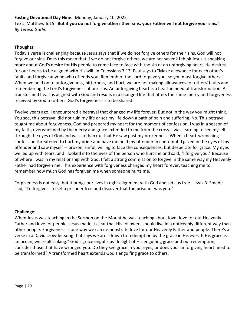#### **Fasting Devotional Day Nine:** Monday, January 10, 2022

Text: Matthew 6:15 **"But if you do not forgive others their sins, your Father will not forgive your sins."**  *By Teresa Gatlin*

#### **Thoughts:**

Today's verse is challenging because Jesus says that if we do not forgive others for their sins, God will not forgive our sins. Does this mean that if we do not forgive others, we are not saved? I think Jesus is speaking more about God's desire for His people to come face to face with the sin of an unforgiving heart. He desires for our hearts to be aligned with His will. In Colossians 3:13, Paul says to "Make allowance for each other's faults and forgive anyone who offends you. Remember, the Lord forgave you, so you must forgive others." When we hold on to unforgiveness, bitterness, and hurt, we are not making allowances for others' faults and remembering the Lord's forgiveness of our sins. An unforgiving heart is a heart in need of transformation. A transformed heart is aligned with God and results in a changed life that offers the same mercy and forgiveness received by God to others. God's forgiveness is to be shared!

Twelve years ago, I encountered a betrayal that changed my life forever. But not in the way you might think. You see, this betrayal did not ruin my life or set my life down a path of pain and suffering. No. This betrayal taught me about forgiveness. God had prepared my heart for the moment of confession. I was in a season of my faith, overwhelmed by the mercy and grace extended to me from the cross. I was learning to see myself through the eyes of God and was so thankful that He saw past my brokenness. When a heart-wrenching confession threatened to hurt my pride and have me hold my offender in contempt, I gazed in the eyes of my offender and saw myself — broken, sinful, willing to face the consequences, but desperate for grace. My eyes welled up with tears, and I looked into the eyes of the person who hurt me and said, "I forgive you." Because of where I was in my relationship with God, I felt a strong commission to forgive in the same way my Heavenly Father had forgiven me. This experience with forgiveness changed my heart forever, teaching me to remember how much God has forgiven me when someone hurts me.

Forgiveness is not easy, but it brings our lives in right alignment with God and sets us free. Lewis B. Smede said, "To forgive is to set a prisoner free and discover that the prisoner was you."

#### **Challenge:**

When Jesus was teaching in the Sermon on the Mount he was teaching about love- love for our Heavenly Father and love for people. Jesus made it clear that His followers should live in a noticeably different way than other people. Forgiveness is one way we can demonstrate love for our Heavenly Father and people. There's a verse in a David crowder song that says we are "drawn to redemption by the grace in His eyes. If His grace is an ocean, we're all sinking." God's grace engulfs us! In light of His engulfing grace and our redemption, consider those that have wronged you. Do they see grace in your eyes, or does your unforgiving heart need to be transformed? A transformed heart extends God's engulfing grace to others.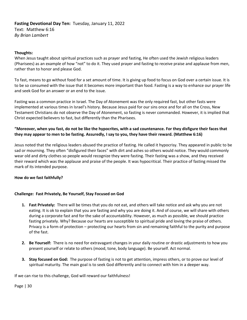#### **Fasting Devotional Day Ten:** Tuesday, January 11, 2022 Text: Matthew 6:16 *By Brian Lambert*

#### **Thoughts:**

When Jesus taught about spiritual practices such as prayer and fasting, He often used the Jewish religious leaders (Pharisees) as an example of how "not" to do it. They used prayer and fasting to receive praise and applause from men, rather than to honor and please God.

To fast, means to go without food for a set amount of time. It is giving up food to focus on God over a certain issue. It is to be so consumed with the issue that it becomes more important than food. Fasting is a way to enhance our prayer life and seek God for an answer or an end to the issue.

Fasting was a common practice in Israel. The Day of Atonement was the only required fast, but other fasts were implemented at various times in Israel's history. Because Jesus paid for our sins once and for all on the Cross, New Testament Christians do not observe the Day of Atonement, so fasting is never commanded. However, it is implied that Christ expected believers to fast, but differently than the Pharisees.

#### **"Moreover, when you fast, do not be like the hypocrites, with a sad countenance. For they disfigure their faces that they may appear to men to be fasting. Assuredly, I say to you, they have their reward. (Matthew 6:16)**

Jesus noted that the religious leaders abused the practice of fasting. He called it hypocrisy. They appeared in public to be sad or mourning. They often "disfigured their faces" with dirt and ashes so others would notice. They would commonly wear old and dirty clothes so people would recognize they were fasting. Their fasting was a show, and they received their reward which was the applause and praise of the people. It was hypocritical. Their practice of fasting missed the mark of its intended purpose.

#### **How do we fast faithfully?**

#### **Challenge: Fast Privately, Be Yourself, Stay Focused on God**

- **1. Fast Privately:** There will be times that you do not eat, and others will take notice and ask why you are not eating. It is ok to explain that you are fasting and why you are doing it. And of course, we will share with others during a corporate fast and for the sake of accountability. However, as much as possible, we should practice fasting privately. Why? Because our hearts are susceptible to spiritual pride and loving the praise of others. Privacy is a form of protection – protecting our hearts from sin and remaining faithful to the purity and purpose of the fast.
- **2. Be Yourself:** There is no need for extravagant changes in your daily routine or drastic adjustments to how you present yourself or relate to others (mood, tone, body language). Be yourself. Act normal.
- **3. Stay focused on God:** The purpose of fasting is not to get attention, impress others, or to prove our level of spiritual maturity. The main goal is to seek God differently and to connect with him in a deeper way.

If we can rise to this challenge, God will reward our faithfulness!

Page | 30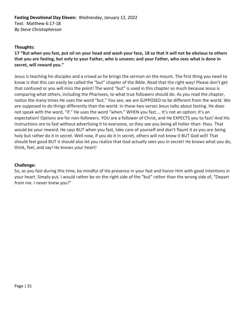#### **Fasting Devotional Day Eleven:** Wednesday, January 12, 2022 Text: Matthew 6:17-18

*By Steve Christopherson*

#### **Thoughts:**

**17 "But when you fast, put oil on your head and wash your face, 18 so that it will not be obvious to others that you are fasting, but only to your Father, who is unseen; and your Father, who sees what is done in secret, will reward you."**

Jesus is teaching his disciples and a crowd as he brings the sermon on the mount. The first thing you need to know is that this can easily be called the "but" chapter of the Bible. Read that the right way! Please don't get that confused or you will miss the point! The word "but" is used in this chapter so much because Jesus is comparing what others, including the Pharisees, to what true followers should do. As you read the chapter, notice the many times He uses the word "but." You see, we are SUPPOSED to be different from the world. We are supposed to do things differently than the world. In these two verses Jesus talks about fasting. He does not speak with the word, "if." He uses the word "when." WHEN you fast.... It's not an option; it's an expectation! Options are for non-followers. YOU are a follower of Christ, and He EXPECTS you to fast! And His instructions are to fast without advertising it to everyone, so they see you being all holier-than- thou. That would be your reward. He says BUT when you fast, take care of yourself and don't flaunt it as you are being holy but rather do it in secret. Well now, if you do it in secret, others will not know it BUT God will! That should feel good BUT it should also let you realize that God actually sees you in secret! He knows what you do, think, feel, and say! He knows your heart!

#### **Challenge:**

So, as you fast during this time, be mindful of His presence in your fast and honor Him with good intentions in your heart. Simply put, I would rather be on the right side of the "but" rather than the wrong side of, "Depart from me. I never knew you!"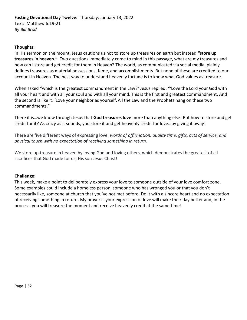#### **Thoughts:**

In His sermon on the mount, Jesus cautions us not to store up treasures on earth but instead **"store up treasures in heaven."** Two questions immediately come to mind in this passage, what are my treasures and how can I store and get credit for them in Heaven? The world, as communicated via social media, plainly defines treasures as material possessions, fame, and accomplishments. But none of these are credited to our account in Heaven. The best way to understand heavenly fortune is to know what God values as treasure.

When asked "which is the greatest commandment in the Law?" Jesus replied: "'Love the Lord your God with all your heart and with all your soul and with all your mind. This is the first and greatest commandment. And the second is like it: 'Love your neighbor as yourself. All the Law and the Prophets hang on these two commandments."

There it is…we know through Jesus that **God treasures love** more than anything else! But how to store and get credit for it? As crazy as it sounds, you store it and get heavenly credit for love…by giving it away!

There are five different ways of expressing love: *words of affirmation, quality time, gifts, acts of service, and physical touch with no expectation of receiving something in return.*

We store up treasure in heaven by loving God and loving others, which demonstrates the greatest of all sacrifices that God made for us, His son Jesus Christ!

#### **Challenge:**

This week, make a point to deliberately express your love to someone outside of your love comfort zone. Some examples could include a homeless person, someone who has wronged you or that you don't necessarily like, someone at church that you've not met before. Do it with a sincere heart and no expectation of receiving something in return. My prayer is your expression of love will make their day better and, in the process, you will treasure the moment and receive heavenly credit at the same time!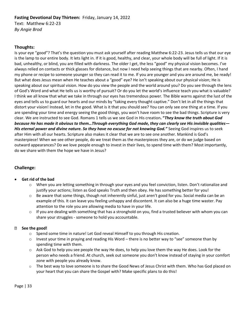#### **Fasting Devotional Day Thirteen:** Friday, January 14, 2022

Text: Matthew 6:22-23 *By Angie Brod*

#### **Thoughts:**

Is your eye "good"? That's the question you must ask yourself after reading Matthew 6:22-23. Jesus tells us that our eye is the lamp to our entire body. It lets light in. If it is good, healthy, and clear, your whole body will be full of light. If it is bad, unhealthy, or blind, you are filled with darkness. The older I get, the less "good" my physical vision becomes. I've always relied on contacts or thick glasses for distance, but now I need help seeing things that are nearby. Often, I hand my phone or recipe to someone younger so they can read it to me. If you are younger and you are around me, be ready! But what does Jesus mean when He teaches about a "good" eye? He isn't speaking about our physical vision; He is speaking about our spiritual vision. How do you view the people and the world around you? Do you see through the lens of God's Word and what He tells us is worthy of pursuit? Or do you let the world's influence teach you what is valuable? I think we all know that what we take in through our eyes has tremendous power. The Bible warns against the lust of the eyes and tells us to guard our hearts and our minds by "taking every thought captive." Don't let in all the things that distort your vision! Instead, let in the good. What is it that you should see? You can only see one thing at a time. If you are spending your time and energy seeing the good things, you won't have room to see the bad things. Scripture is very clear. We are instructed to see God. Romans 1 tells us we see God in His creation**. "***They know the truth about God because He has made it obvious to them…Through everything God made, they can clearly see His invisible qualities— His eternal power and divine nature. So they have no excuse for not knowing God."* Seeing God inspires us to seek after Him with all our hearts. Scripture also makes it clear that we are to see one another. Mankind is God's masterpiece! When we see other people, do we treat them as the masterpieces they are, or do we judge based on outward appearances? Do we love people enough to invest in their lives, to spend time with them? Most importantly, do we share with them the hope we have in Jesus?

#### **Challenge:**

#### • **Get rid of the bad**

- $\circ$  When you are letting something in through your eyes and you feel conviction, listen. Don't rationalize and justify your actions; listen as God speaks Truth and then obey. He has something better for you!
- o Be aware that some things, though not inherently sinful, just aren't good for you. Social media can be an example of this. It can leave you feeling unhappy and discontent. It can also be a huge time waster. Pay attention to the role you are allowing media to have in your life.
- $\circ$  If you are dealing with something that has a stronghold on you, find a trusted believer with whom you can share your struggles - someone to hold you accountable.

#### $\overline{2}$ **See the good!**

- o Spend some time in nature! Let God reveal Himself to you through His creation.
- $\circ$  Invest your time in praying and reading His Word there is no better way to "see" someone than by spending time with them.
- o Ask God to help you see people the way He does, to help you love them the way He does. Look for the person who needs a friend. At church, seek out someone you don't know instead of staying in your comfort zone with people you already know.
- o The best way to love someone is to share the Good News of Jesus Christ with them. Who has God placed on your heart that you can share the Gospel with? Make specific plans to do this!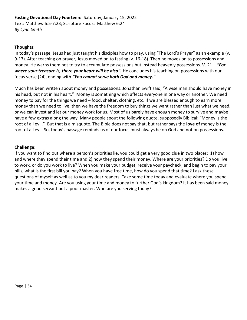#### **Fasting Devotional Day Fourteen:** Saturday, January 15, 2022 Text: Matthew 6:5-7:23; Scripture Focus: Matthew 6:24 *By Lynn Smith*

#### **Thoughts:**

In today's passage, Jesus had just taught his disciples how to pray, using "The Lord's Prayer" as an example (v. 9-13). After teaching on prayer, Jesus moved on to fasting (v. 16-18). Then he moves on to possessions and money. He warns them not to try to accumulate possessions but instead heavenly possessions. V. 21 – *"For*  where your treasure is, there your heart will be also". He concludes his teaching on possessions with our focus verse (24), ending with *"You cannot serve both God and money."*

Much has been written about money and possessions. Jonathan Swift said, "A wise man should have money in his head, but not in his heart." Money is something which affects everyone in one way or another. We need money to pay for the things we need – food, shelter, clothing, etc. If we are blessed enough to earn more money than we need to live, then we have the freedom to buy things we want rather than just what we need, or we can invest and let our money work for us. Most of us barely have enough money to survive and maybe have a few extras along the way. Many people spout the following quote, supposedly Biblical: "Money is the root of all evil." But that is a misquote. The Bible does not say that, but rather says the **love of** money is the root of all evil. So, today's passage reminds us of our focus must always be on God and not on possessions.

#### **Challenge:**

If you want to find out where a person's priorities lie, you could get a very good clue in two places: 1) how and where they spend their time and 2) how they spend their money. Where are your priorities? Do you live to work, or do you work to live? When you make your budget, receive your paycheck, and begin to pay your bills, what is the first bill you pay? When you have free time, how do you spend that time? I ask these questions of myself as well as to you my dear readers. Take some time today and evaluate where you spend your time and money. Are you using your time and money to further God's kingdom? It has been said money makes a good servant but a poor master. Who are you serving today?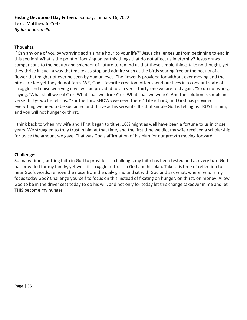#### **Fasting Devotional Day Fifteen:** Sunday, January 16, 2022 Text: Matthew 6:25-32

*By Justin Jaramillo*

#### **Thoughts:**

"Can any one of you by worrying add a single hour to your life?" Jesus challenges us from beginning to end in this section! What is the point of focusing on earthly things that do not affect us in eternity? Jesus draws comparisons to the beauty and splendor of nature to remind us that these simple things take no thought, yet they thrive in such a way that makes us stop and admire such as the birds soaring free or the beauty of a flower that might not ever be seen by human eyes. The flower is provided for without ever moving and the birds are fed yet they do not farm. WE, God's favorite creation, often spend our lives in a constant state of struggle and noise worrying if we will be provided for. In verse thirty-one we are told again. "So do not worry, saying, 'What shall we eat?' or 'What shall we drink?' or 'What shall we wear?" And the solution is simple in verse thirty-two he tells us, "For the Lord KNOWS we need these." Life is hard, and God has provided everything we need to be sustained and thrive as his servants. It's that simple God is telling us TRUST in him, and you will not hunger or thirst.

I think back to when my wife and I first began to tithe, 10% might as well have been a fortune to us in those years. We struggled to truly trust in him at that time, and the first time we did, my wife received a scholarship for twice the amount we gave. That was God's affirmation of his plan for our growth moving forward.

#### **Challenge:**

So many times, putting faith in God to provide is a challenge, my faith has been tested and at every turn God has provided for my family, yet we still struggle to trust in God and his plan. Take this time of reflection to hear God's words, remove the noise from the daily grind and sit with God and ask what, where, who is my focus today God? Challenge yourself to focus on this instead of fixating on hunger, on thirst, on money. Allow God to be in the driver seat today to do his will, and not only for today let this change takeover in me and let THIS become my hunger.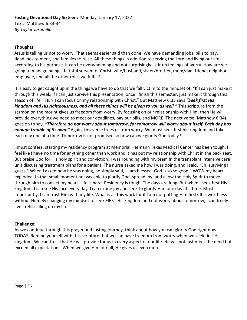#### **Fasting Devotional Day Sixteen:** Monday, January 17, 2022 Text: Matthew 6:33-34

*By Taylor Jaramillo*

#### **Thoughts:**

Jesus is telling us not to worry. That seems easier said than done. We have demanding jobs, bills to pay, deadlines to meet, and families to raise. All these things in addition to serving the Lord and living our life according to his purpose. It can be overwhelming and not surprisingly…stir up feelings of worry. How are we going to manage being a faithful servant of Christ, wife/husband, sister/brother, mom/dad, friend, neighbor, employee, and all the other roles we fulfill?

It is easy to get caught up in the things we have to do that we fall victim to the mindset of, "If I can just make it through this week, if I can just survive this presentation, once I finish this semester, just make it through this season of life, THEN I can focus on my relationship with Christ." But Matthew 6:33 says *"Seek first His kingdom and His righteousness, and all these things will be given to you as well."* This scripture from the sermon on the mount gives us freedom from worry. By focusing on our relationship with Him, then He will provide everything we need to meet our deadlines, pay our bills, and MORE. The next verse (Matthew 6:34) goes on to say, *"Therefore do not worry about tomorrow, for tomorrow will worry about itself*. *Each day has enough trouble of its own."* Again, this verse frees us from worry. We must seek first his kingdom and take each day one at a time. Tomorrow is not promised so how can we glorify God today?

I must confess, starting my residency program at Memorial Hermann Texas Medical Center has been tough. I feel like I have no time for anything other than work and it has put my relationship with Christ in the back seat. But praise God for His holy spirit and conviction! I was rounding with my team in the transplant intensive care unit discussing treatment plans for a patient. The nurse asked me how I was doing, and I said, "Eh, surviving I guess." When I asked how he was doing, he simply said, "I am blessed. God is so so good." WOW my heart exploded. In that small moment he was able to glorify God, spread joy, and allow the Holy Spirit to move through him to convict my heart. Life is hard. Residency is tough. The days are long. But when I seek first His kingdom, I can see His face every day. I can exude joy and seek to glorify Him one day at a time. Most importantly, I can trust Him with my life. What is all this work for if I am not putting Him first? It is worthless without Him. By changing my mindset to seek FIRST His kingdom and not worry about tomorrow, I can freely live in His calling on my life.

#### **Challenge:**

As we continue through this prayer and fasting journey, think about how you can glorify God right now… TODAY. Remind yourself with this scripture that we can have freedom from worry when we seek first His kingdom. We can trust that He will provide for us in every aspect of our life. He will not just meet the need but exceed all expectations. When we give Him our all, He gives us even more.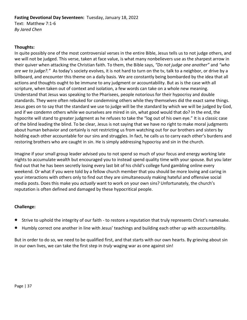#### **Fasting Devotional Day Seventeen:** Tuesday, January 18, 2022

Text: Matthew 7:1-6 *By Jared Chen*

#### **Thoughts:**

In quite possibly one of the most controversial verses in the entire Bible, Jesus tells us to not judge others, and we will not be judged. This verse, taken at face value, is what many nonbelievers use as the sharpest arrow in their quiver when attacking the Christian faith. To them, the Bible says, *"Do not judge one another"* and *"who are we to judge?."* As today's society evolves, it is not hard to turn on the tv, talk to a neighbor, or drive by a billboard, and encounter this theme on a daily basis. We are constantly being bombarded by the idea that all actions and thoughts ought to be immune to any judgment or accountability. But as is the case with all scripture, when taken out of context and isolation, a few words can take on a whole new meaning. Understand that Jesus was speaking to the Pharisees, people notorious for their hypocrisy and double standards. They were often rebuked for condemning others while they themselves did the exact same things. Jesus goes on to say that the standard we use to judge will be the standard by which we will be judged by God, and if we condemn others while we ourselves are mired in sin, what good would that do? In the end, the hypocrite will stand to greater judgment as he refuses to take the "log out of his own eye." It is a classic case of the blind leading the blind. To be clear, Jesus is not saying that we have no right to make moral judgments about human behavior and certainly is not restricting us from watching out for our brothers and sisters by holding each other accountable for our sins and struggles. In fact, he calls us to carry each other's burdens and restoring brothers who are caught in sin. He is simply addressing hypocrisy and sin in the church.

Imagine if your small group leader advised you to not spend so much of your focus and energy working late nights to accumulate wealth but encouraged you to instead spend quality time with your spouse. But you later find out that he has been secretly losing every last bit of his child's college fund gambling online every weekend. Or what if you were told by a fellow church member that you should be more loving and caring in your interactions with others only to find out they are simultaneously making hateful and offensive social media posts. Does this make you *actually* want to work on your own sins? Unfortunately, the church's reputation is often defined and damaged by these hypocritical people.

#### **Challenge:**

- Strive to uphold the integrity of our faith to restore a reputation that truly represents Christ's namesake.
- Humbly correct one another in line with Jesus' teachings and building each other up with accountability.

But in order to do so, we need to be qualified first, and that starts with our own hearts. By grieving about sin in our own lives, we can take the first step in *truly* waging war as one against sin!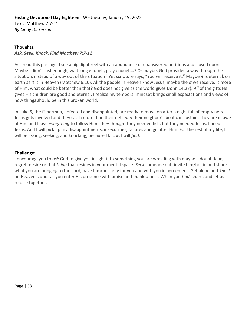#### **Fasting Devotional Day Eighteen:** Wednesday, January 19, 2022

Text: Matthew 7:7-11 *By Cindy Dickerson*

#### **Thoughts:** *Ask, Seek, Knock, Find Matthew 7:7-11*

As I read this passage, I see a highlight reel with an abundance of unanswered petitions and closed doors. Maybe I didn't fast enough, wait long enough, pray enough…? Or maybe, God provided a way through the situation, instead of a way out of the situation? Yet scripture says, "You will receive it." Maybe *it* is eternal, on earth as *it* is in Heaven (Matthew 6:10). All the people in Heaven know Jesus, maybe the *it* we receive, is more of Him, what could be better than that? God does not give as the world gives (John 14:27). *All* of the gifts He gives His children are good and eternal. I realize my temporal mindset brings small expectations and views of how things should be in this broken world.

In Luke 5, the fishermen, defeated and disappointed, are ready to move on after a night full of empty nets. Jesus gets involved and they catch more than their nets *and* their neighbor's boat can sustain. They are in awe of Him and leave *everything* to follow Him. They thought they needed fish, but they needed Jesus. I need Jesus. And I will pick up my disappointments, insecurities, failures and go after Him. For the rest of my life, I will be asking, seeking, and knocking, because I know, I will *find*.

#### **Challenge:**

I encourage you to *ask* God to give you insight into something you are wrestling with maybe a doubt, fear, regret, desire or that *thing* that resides in your mental space. *Seek* someone out, invite him/her in and share what you are bringing to the Lord, have him/her pray for you and with you in agreement. Get alone and *knock*on Heaven's door as you enter His presence with praise and thankfulness. When you *find*, share, and let us rejoice together.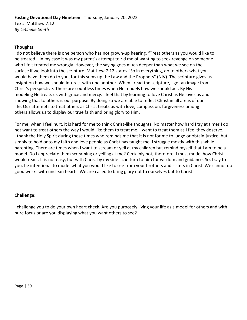#### **Fasting Devotional Day Nineteen:** Thursday, January 20, 2022

Text: Matthew 7:12 *By LeChelle Smith*

#### **Thoughts:**

I do not believe there is one person who has not grown-up hearing, "Treat others as you would like to be treated." In my case it was my parent's attempt to rid me of wanting to seek revenge on someone who I felt treated me wrongly. However, the saying goes much deeper than what we see on the surface if we look into the scripture. Matthew 7:12 states "So in everything, do to others what you would have them do to you, for this sums up the Law and the Prophets" (NIV). The scripture gives us insight on how we should interact with one another. When I read the scripture, I get an image from Christ's perspective. There are countless times when He models how we should act. By His modeling He treats us with grace and mercy. I feel that by learning to love Christ as He loves us and showing that to others is our purpose. By doing so we are able to reflect Christ in all areas of our life. Our attempts to treat others as Christ treats us with love, compassion, forgiveness among others allows us to display our true faith and bring glory to Him.

For me, when I feel hurt, it is hard for me to think Christ-like thoughts. No matter how hard I try at times I do not want to treat others the way I would like them to treat me. I want to treat them as I feel they deserve. I thank the Holy Spirit during these times who reminds me that it is not for me to judge or obtain justice, but simply to hold onto my faith and love people as Christ has taught me. I struggle mostly with this while parenting. There are times when I want to scream or yell at my children but remind myself that I am to be a model. Do I appreciate them screaming or yelling at me? Certainly not, therefore, I must model how Christ would react. It is not easy, but with Christ by my side I can turn to him for wisdom and guidance. So, I say to you, be intentional to model what you would like to see from your brothers and sisters in Christ. We cannot do good works with unclean hearts. We are called to bring glory not to ourselves but to Christ.

#### **Challenge:**

I challenge you to do your own heart check. Are you purposely living your life as a model for others and with pure focus or are you displaying what you want others to see?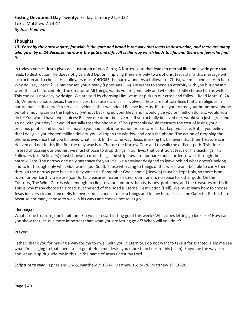#### **Fasting Devotional Day Twenty:** Friday, January 21, 2022

Text: Matthew 7:13-14 *By Jose Valdivia*

#### **Thoughts:**

*13 "Enter by the narrow gate; for wide is the gate and broad is the way that leads to destruction, and there are many who go in by it. 14 Because narrow is the gate and difficult is the way which leads to life, and there are few who find it.*

In today's verses, Jesus gives an illustration of two Gates; A Narrow gate that leads to eternal life and a wide gate that leads to destruction. He does not give a 3rd Option, implying there are only two options. Jesus starts this message with instruction and a choice. His followers must **CHOOSE** the narrow one. As a follower of Christ, we must choose Him back. Why do I say "back"? He has chosen you already (Ephesians 1: 4). He wants to spend an eternity with you but doesn't want this to be forced. He, The Creator of All things, wants you to genuinely and wholeheartedly choose him as well. This choice is not easy by design. We are told by choosing Him we must pick up our cross and follow. (Read Matt 16 :24- 26) When we choose Jesus, there is a cost because sacrifice is involved. These are not sacrifices that are religious in nature but sacrifices which serve as evidence that we indeed Believe in Jesus. If I told you to toss your brand-new phone out of a moving car on the Highway (without backing up your files) and I would give you ten million dollars, would you do it? You would have two choices; Believe me or not believe me. If you actually believed me, would you just agree and go on with your day? Or would actually toss the phone out? You probably would measure the cost of losing your precious photos and video files, maybe you had bank information or passwords that kept you safe. But, if you believe that I will give you the ten million dollars, you will open the window and drop the phone. The action of dropping the phone is evidence that you believed what I said. In the same way, Jesus is asking his believers that their Treasure is in Heaven and not in this life. But the only way is to Choose the Narrow Gate and to walk the difficult path. This time, instead of tossing our phones, we must choose to drop things in our lives that contradict Jesus or his teachings. His Followers (aka Believers) must choose to drop things and strip down to our bare soul in order to walk through the narrow Gate. The narrow one only has space for you. It's like a strainer designed to leave behind what doesn't belong and to let through only what God wants (our Soul). Those who cling to things of this world won't be able to carry them through the narrow gate because they won't fit. Remember God's home (Heaven) must be kept Holy, so there is no room for our Earthly treasure (comforts, pleasures, materials), no room for Sin, no space for other gods. On the Contrary, The Wide Gate is wide enough to cling to your comforts, habits, issues, problems, and the treasures of this life. This is why many choose this road. But the end of the Road is Eternal Destruction (Hell). We must learn how to choose Jesus in every circumstance. His followers must choose to drop things and follow him. Jesus is the Gate; his Path is hard because not many choose to walk in his ways and choose not to let go.

#### **Challenge:**

What is one treasure, one habit, one Sin you can start letting go of this week? What does letting go look like? How can you show that Jesus is more important than what you are letting go of? When will you do it?

#### **Prayer:**

Father, thank you for making a way for me to dwell with you in Eternity. I do not want to take it for granted. Help me see what I'm clinging to that I need to let go of. Help me desire you more than I desire this (fill in). Show me the way Lord and let your spirit guide me in this. In the name of Jesus Christ my Lord!

**Scripture to read:** Ephesians 1: 4-5, Matthew 7: 13-14, Matthew 16: 24-26, Matthew 19: 16-26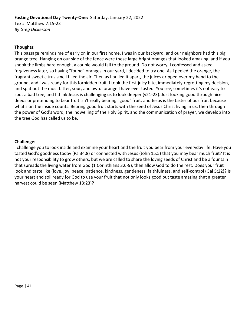#### **Fasting Devotional Day Twenty-One:** Saturday, January 22, 2022

Text: Matthew 7:15-23 *By Greg Dickerson*

#### **Thoughts:**

This passage reminds me of early on in our first home. I was in our backyard, and our neighbors had this big orange tree. Hanging on our side of the fence were these large bright oranges that looked amazing, and if you shook the limbs hard enough, a couple would fall to the ground. Do not worry, I confessed and asked forgiveness later, so having "found" oranges in our yard, I decided to try one. As I peeled the orange, the fragrant sweet citrus smell filled the air. Then as I pulled it apart, the juices dripped over my hand to the ground, and I was ready for this forbidden fruit. I took the first juicy bite, immediately regretting my decision, and spat out the most bitter, sour, and awful orange I have ever tasted. You see, sometimes it's not easy to spot a bad tree, and I think Jesus is challenging us to look deeper (v21-23). Just looking good through nice deeds or pretending to bear fruit isn't really bearing "good" fruit, and Jesus is the taster of our fruit because what's on the inside counts. Bearing good fruit starts with the seed of Jesus Christ living in us, then through the power of God's word, the indwelling of the Holy Spirit, and the communication of prayer, we develop into the tree God has called us to be.

#### **Challenge:**

I challenge you to look inside and examine your heart and the fruit you bear from your everyday life. Have you tasted God's goodness today (Pa 34:8) or connected with Jesus (John 15:5) that you may bear much fruit? It is not your responsibility to grow others, but we are called to share the loving seeds of Christ and be a fountain that spreads the living water from God (1 Corinthians 3:6-9), then allow God to do the rest. Does your fruit look and taste like (love, joy, peace, patience, kindness, gentleness, faithfulness, and self-control (Gal 5:22)? Is your heart and soil ready for God to use your fruit that not only looks good but taste amazing that a greater harvest could be seen (Matthew 13:23)?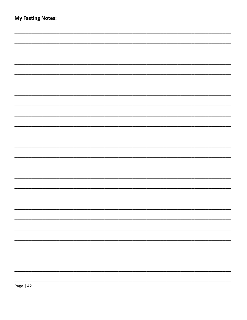| <b>My Fasting Notes:</b> |  |  |
|--------------------------|--|--|
|                          |  |  |
|                          |  |  |
|                          |  |  |
|                          |  |  |
|                          |  |  |
|                          |  |  |
|                          |  |  |
|                          |  |  |
|                          |  |  |
|                          |  |  |
|                          |  |  |
|                          |  |  |
|                          |  |  |
|                          |  |  |
|                          |  |  |
|                          |  |  |
|                          |  |  |
|                          |  |  |
|                          |  |  |
|                          |  |  |
|                          |  |  |
|                          |  |  |
|                          |  |  |
|                          |  |  |
|                          |  |  |